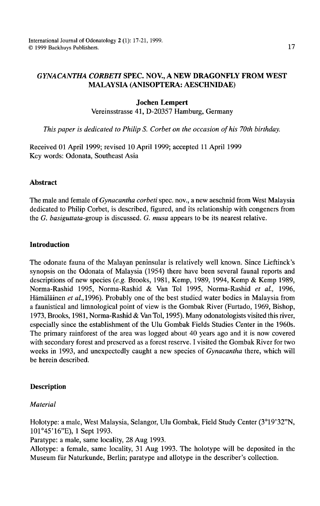# *GYNACANTHA CORBET/* SPEC. NOV., A NEW DRAGONFLY FROM WEST MALAYSIA (ANISOPTERA: AESCHNIDAE)

#### Jochen Lempert

Vereinsstrasse 41, D-20357 Hamburg, Germany

*This paper is dedicated to Philip S. Corbet on the occasion of his 70th birthday.* 

Received 01 April 1999; revised 10 April 1999; accepted 11 April 1999 Key words: Odonata, Southeast Asia

### Abstract

The male and female of *Gynacantha corbeti* spec. nov., a new aeschnid from West Malaysia dedicated to Philip Corbet, is described, figured, and its relationship with congeners from the G. *basiguttata-group* is discussed. G. *musa* appears to be its nearest relative.

# Introduction

The odonate fauna of the Malayan peninsular is relatively well known. Since Lieftinck's synopsis on the Odonata of Malaysia (1954) there have been several faunal reports and descriptions of new species *(e.g.* Brooks, 1981, Kemp, 1989, 1994, Kemp & Kemp 1989, Norma-Rashid 1995, Norma-Rashid & Van Tol 1995, Norma-Rashid *et al.,* 1996, Hämäläinen *et al.*, 1996). Probably one of the best studied water bodies in Malaysia from a faunistical and limnological point of view is the Gombak River (Furtado, 1969, Bishop, 1973, Brooks, 1981, Norma-Rashid & VanTol, 1995). Many odonatologists visited this river, especially since the establishment of the Ulu Gombak Fields Studies Center in the 1960s. The primary rainforest of the area was logged about 40 years ago and it is now covered with secondary forest and preserved as a forest reserve. I visited the Gombak River for two weeks in 1993, and unexpectedly caught a new species of *Gynacantha* there, which will be herein described.

### **Description**

*Material* 

Holotype: a male, West Malaysia, Selangor, Ulu Gombak, Field Study Center (3°19'32"N, 101 °45'16"E), 1 Sept 1993.

Paratype: a male, same locality, 28 Aug 1993.

Allotype: a female, same locality, 31 Aug 1993. The holotype will be deposited in the Museum fiir Naturkunde, Berlin; paratype and allotype in the describer's collection.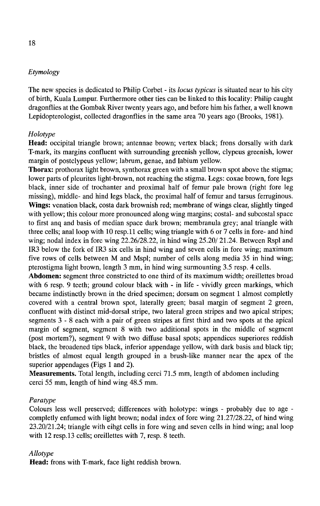# *Etymology*

The new species is dedicated to Philip Corbet - its *locus typicus* is situated near to his city of birth, Kuala Lumpur. Furthermore other ties can be linked to this locality: Philip caught dragonflies at the Gombak River twenty years ago, and before him his father, a well known Lepidopterologist, collected dragonflies in the same area 70 years ago (Brooks, 1981).

## *Holotype*

Head: occipital triangle brown; antennae brown; vertex black; frons dorsally with dark T-mark, its margins confluent with surrounding greenish yellow, clypeus greenish, lower margin of postclypeus yellow; labrum, genae, and labium yellow.

Thorax: prothorax light brown, synthorax green with a small brown spot above the stigma; lower parts of pleurites light-brown, not reaching the stigma. Legs: coxae brown, fore legs black, inner side of trochanter and proximal half of femur pale brown (right fore leg missing), middle- and hind legs black, the proximal half of femur and tarsus ferruginous. Wings: venation black, costa dark brownish red; membrane of wings clear, slightly tinged with yellow; this colour more pronounced along wing margins; costal- and subcostal space to first anq and basis of median space dark brown; membranula grey; anal triangle with three cells; anal loop with 10 resp.ll cells; wing triangle with 6 or 7 cells in fore- and hind wing; nodal index in fore wing 22.26/28.22, in hind wing 25.20/ 21.24. Between Rspl and IR3 below the fork of IR3 six cells in hind wing and seven cells in fore wing; maximum five rows of cells between M and Mspl; number of cells along media 35 in hind wing; pterostigma light brown, length 3 mm, in hind wing surmounting 3.5 resp. 4 cells.

Abdomen: segment three constricted to one third of its maximum width; oreillettes broad with 6 resp. 9 teeth; ground colour black with - in life - vividly green markings, which became indistinctly brown in the dried specimen; dorsum on segment 1 almost completly covered with a central brown spot, laterally green; basal margin of segment 2 green, confluent with distinct mid-dorsal stripe, two lateral green stripes and two apical stripes; segments 3 - 8 each with a pair of green stripes at first third and two spots at the apical margin of segment, segment 8 with two additional spots in the middle of segment (post mortem?), segment 9 with two diffuse basal spots; appendices superiores reddish black, the broadened tips black, inferior appendage yellow, with dark basis and black tip; bristles of almost equal length grouped in a brush-like manner near the apex of the superior appendages (Figs 1 and 2).

Measurements. Total length, including cerci 71.5 mm, length of abdomen including cerci 55 mm, length of hind wing 48.5 mm.

### *Para type*

Colours less well preserved; differences with holotype: wings - probably due to age completly enfumed with light brown; nodal index of fore wing 21.27/28.22, of hind wing 23.20/21.24; triangle with eihgt cells in fore wing and seven cells in hind wing; anal loop with 12 resp.13 cells; oreillettes with 7, resp. 8 teeth.

### *Allotype*

Head: frons with T-mark, face light reddish brown.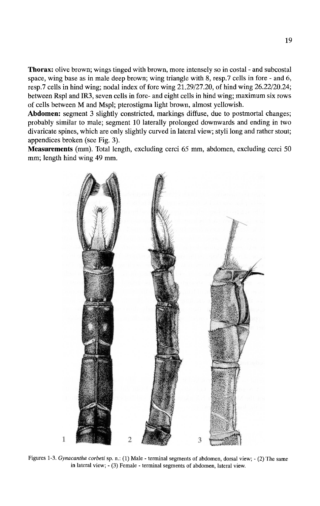**Thorax:** olive brown; wings tinged with brown, more intensely so in costal - and subcostal space, wing base as in male deep brown; wing triangle with  $8$ , resp. 7 cells in fore - and  $6$ , resp.7 cells in hind wing; nodal index of fore wing 21.29/27.20, of hind wing 26.22/20.24; between Rspl and IR3, seven cells in fore- and eight cells in hind wing; maximum six rows of cells between M and Mspl; pterostigma light brown, almost yellowish.

**Abdomen:** segment 3 slightly constricted, markings diffuse, due to postmortal changes; probably similar to male; segment 10 laterally prolonged downwards and ending in two divaricate spines, which are only slightly curved in lateral view; styli long and rather stout; appendices broken (see Fig. 3).

**Measurements** (mm). Total length, excluding cerci 65 mm, abdomen, excluding cerci 50 mm; length hind wing 49 mm.



Figures 1-3. *Gynacantha corbeti* sp. n.: (1) Male- terminal segments of abdomen, dorsal view;- (2) The same in lateral view; - (3) Female - terminal segments of abdomen, lateral view.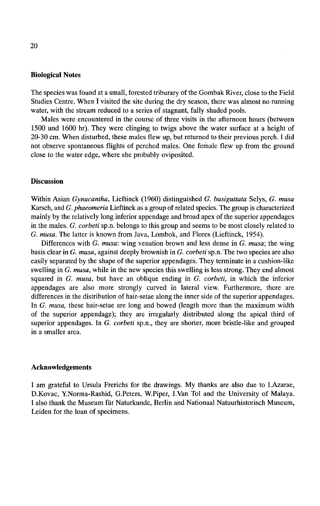### **Biological Notes**

The species was found at a small, forested triburary of the Gombak River, close to the Field Studies Centre. When I visited the site during the dry season, there was almost no running water, with the stream reduced to a series of stagnant, fully shaded pools.

Males were encountered in the course of three visits in the afternoon hours (between 1500 und 1600 hr). They were clinging to twigs above the water surface at a height of 20-30 em. When disturbed, these males flew up, but returned to their previous perch. I did not observe spontaneous flights of perched males. One female flew up from the ground close to the water edge, where she probably oviposited.

## **Discussion**

Within Asian *Gynacantha,* Lieftinck (1960) distinguished G. *basiguttata* Selys, G. *musa*  Karsch, and G. *phaeomeria* Lieftinck as a group of related species. The group is characterized mainly by the relatively long inferior appendage and broad apex of the superior appendages in the males. G. *corbeti* sp.n. belongs to this group and seems to be most closely related to G. *musa.* The latter is known from Java, Lombok, and Flores (Lieftinck, 1954).

Differences with G. *musa:* wing venation brown and less dense in G. *musa;* the wing basis clear in G. *musa,* against deeply brownish in G. *corbeti* sp.n. The two species are also easily separated by the shape of the superior appendages. They terminate in a cushion-like swelling in G. *musa,* while in the new species this swelling is less strong. They end almost squared in G. *musa,* but have an oblique ending in G. *corbeti,* in which the inferior appendages are also more strongly curved in lateral view. Furthermore, there are differences in the distribution of hair-setae along the inner side of the superior appendages. In G. *musa,* these hair-setae are long and bowed (length more than the maximum width of the superior appendage); they are irregularly distributed along the apical third of superior appendages. In G. *corbeti* sp.n., they are shorter, more bristle-like and grouped in a smaller area.

## **Acknowledgements**

I am grateful to Ursula Frerichs for the drawings. My thanks are also due to I.Azarae, D.Kovac, Y.Norma-Rashid, G.Peters, W.Piper, J.Van Tol and the University of Malaya. I also thank the Museum fur Naturkunde, Berlin and Nationaal Natuurhistorisch Museum, Leiden for the loan of specimens.